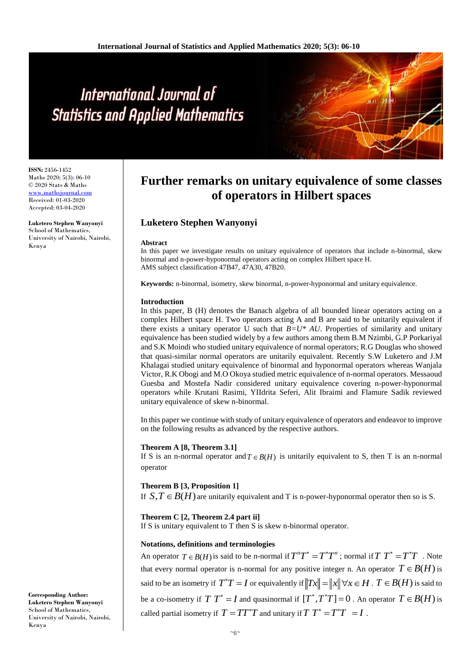# International Journal of **Statistics and Applied Mathematics**

**ISSN:** 2456-1452 Maths 2020; 5(3): 06-10 © 2020 Stats & Maths [www.mathsjournal.com](file:///C:/Users/DR%20LUKETERO/Downloads/www.mathsjournal.com) Received: 01-03-2020 Accepted: 03-04-2020

**Luketero Stephen Wanyonyi** School of Mathematics, University of Nairobi, Nairobi, Kenya

# **Further remarks on unitary equivalence of some classes of operators in Hilbert spaces**

# **Luketero Stephen Wanyonyi**

#### **Abstract**

In this paper we investigate results on unitary equivalence of operators that include n-binormal, skew binormal and n-power-hyponormal operators acting on complex Hilbert space H. AMS subject classification 47B47, 47A30, 47B20.

**Keywords:** n-binormal, isometry, skew binormal, n-power-hyponormal and unitary equivalence.

#### **Introduction**

In this paper, B (H) denotes the Banach algebra of all bounded linear operators acting on a complex Hilbert space H. Two operators acting A and B are said to be unitarily equivalent if there exists a unitary operator U such that  $B=U^* A U$ . Properties of similarity and unitary equivalence has been studied widely by a few authors among them B.M Nzimbi, G.P Porkariyal and S.K Moindi who studied unitary equivalence of normal operators; R.G Douglas who showed that quasi-similar normal operators are unitarily equivalent. Recently S.W Luketero and J.M Khalagai studied unitary equivalence of binormal and hyponormal operators whereas Wanjala Victor, R.K Obogi and M.O Okoya studied metric equivalence of n-normal operators. Messaoud Guesba and Mostefa Nadir considered unitary equivalence covering n-power-hyponormal operators while Krutani Rasimi, YIIdrita Seferi, Alit Ibraimi and Flamure Sadik reviewed unitary equivalence of skew n-binormal.

In this paper we continue with study of unitary equivalence of operators and endeavor to improve on the following results as advanced by the respective authors.

# **Theorem A [8, Theorem 3.1]**

If S is an n-normal operator and  $T \in B(H)$  is unitarily equivalent to S, then T is an n-normal operator

# **Theorem B [3, Proposition 1]**

If  $S, T \in B(H)$  are unitarily equivalent and T is n-power-hyponormal operator then so is S.

**Theorem C [2, Theorem 2.4 part ii]**

If S is unitary equivalent to T then S is skew n-binormal operator.

# **Notations, definitions and terminologies**

An operator  $T \in B(H)$  is said to be n-normal if  $T^{n}T^{*} = T^{*}T^{n}$ ; normal if  $T T^{*} = T^{*}T$ . Note that every normal operator is n-normal for any positive integer n. An operator  $T \in B(H)$  is said to be an isometry if  $T^*T = I$  or equivalently if  $||Tx|| = ||x|| \forall x \in H$  .  $T \in B(H)$  is said to be a co-isometry if  $T T^* = I$  and quasinormal if  $[T^*, T^*T] = 0$ . An operator  $T \in B(H)$  is called partial isometry if  $T = TT^*T$  and unitary if  $T T^* = T^*T = I$ .

**Corresponding Author: Luketero Stephen Wanyonyi** School of Mathematics, University of Nairobi, Nairobi, Kenya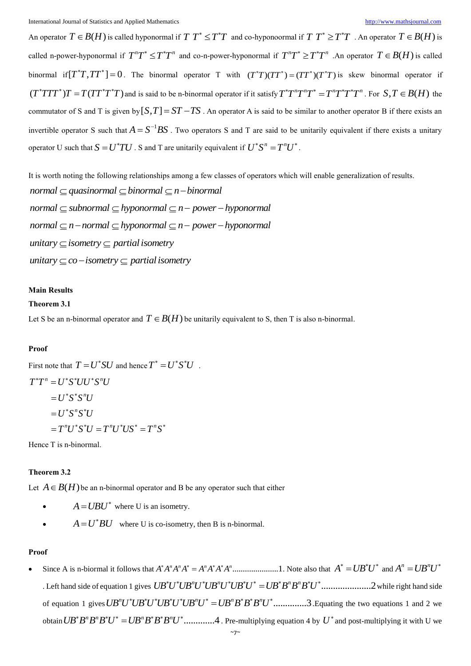An operator  $T \in B(H)$  is called hyponormal if  $T T^* \leq T^*T$  and co-hyponoormal if  $T T^* \geq T^*T$  . An operator  $T \in B(H)$  is called n-power-hyponormal if  $T^nT^* \leq T^*T^n$  and co-n-power-hyponormal if  $T^nT^* \geq T^*T^n$  . An operator  $T \in B(H)$  is called binormal if  $[T^*T, TT^*]=0$ . The binormal operator T with  $(T^*T)(TT^*)=(TT^*)(T^*T)$  is skew binormal operator if  $(T^*TTT^*)T = T(TT^*T^*T)$  and is said to be n-binormal operator if it satisfy  $T^*T^nT^*T^*T^*T^*T^*T^n$ . For  $S, T \in B(H)$  the commutator of S and T is given by  $[S,T] = ST - TS$ . An operator A is said to be similar to another operator B if there exists an invertible operator S such that  $A = S^{-1}BS$ . Two operators S and T are said to be unitarily equivalent if there exists a unitary operator U such that  $S = U^*TU$  . S and T are unitarily equivalent if  $U^*S^n = T^nU^*$ .

It is worth noting the following relationships among a few classes of operators which will enable generalization of results.  $normal \subset quant$  quasinormal  $\subset binormal \subset n$  - binormal  $normal \subset subnormal \subset hyper-hyponormal \longrightarrow P$  $normal \subset n$  - normal  $\subset$  hyponormal  $\subset n$  - power - hyponormal *unitary*  $\subseteq$  *isometry*  $\subseteq$  *partial isometry unitary*  $\subset$  *co*  $-i$ *sometry*  $\subset$  *partial isometry* 

#### **Main Results**

#### **Theorem 3.1**

Let S be an n-binormal operator and  $T \in B(H)$  be unitarily equivalent to S, then T is also n-binormal.

#### **Proof**

First note that  $T = U^*SU$  and hence  $T^* = U^*S^*U$ .  $T^*T^n = U^*S^*UU^*S^nU$  $U^*S^*S^nU$  $=$   $U^*S^*S^*U$  $=T^nU^*S^*U=T^nU^*US^*=T^nS^*$ 

Hence T is n-binormal.

#### **Theorem 3.2**

Let  $A \in B(H)$  be an n-binormal operator and B be any operator such that either

- $A = UBU^*$  where U is an isometry.
- $A = U^*BU$  where U is co-isometry, then B is n-binormal.

#### **Proof**

 Since A is n-biormal it follows that ......................1 *<sup>n</sup> <sup>n</sup> <sup>n</sup> <sup>n</sup> A A A A A A A A* . Note also that *A UB U* and *<sup>n</sup> <sup>n</sup> A UB U* . Left hand side of equation 1 gives .....................2 *<sup>n</sup> <sup>n</sup> <sup>n</sup> <sup>n</sup> UB U UB U UB U UB U UB B B B U* while right hand side of equation 1 gives  $UB^nU^*UB^*U^*UB^*U^*UB^nU^* = UB^nB^*B^nU^*$  ..............3. Equating the two equations 1 and 2 we obtain  $UB^*B^nB^nB^*U^* = UB^nB^*B^nU^*$ .............4. Pre-multiplying equation 4 by  $U^*$  and post-multiplying it with U we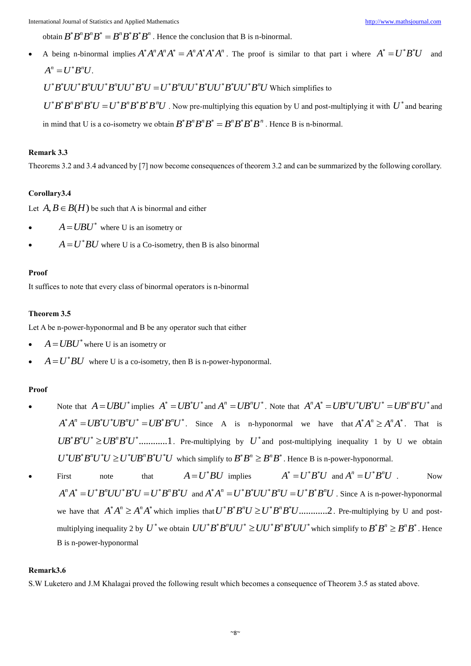obtain  $B^*B^nB^nB^* = B^nB^*B^*B^n$ . Hence the conclusion that B is n-binormal.

• A being n-binormal implies  $A^*A^nA^nA^* = A^nA^*A^nA^n$ . The proof is similar to that part i where  $A^* = U^*B^*U$ and  $A^n = U^*B^nU$ .

 $U^*B^*UU^*B^nUU^*B^nUU^*B^*U=U^*B^nUU^*B^*UU^*B^*UU^*B^nU$  Which simplifies to

 $U^*B^*B^nB^*U = U^*B^nB^*B^*B^nU$ . Now pre-multiplying this equation by U and post-multiplying it with  $U^*$  and bearing in mind that U is a co-isometry we obtain  $B^*B^nB^nB^* = B^nB^*B^*B^n$ . Hence B is n-binormal.

# **Remark 3.3**

Theorems 3.2 and 3.4 advanced by [7] now become consequences of theorem 3.2 and can be summarized by the following corollary.

#### **Corollary3.4**

Let  $A, B \in B(H)$  be such that A is binormal and either

- $A = UBU^*$  where U is an isometry or
- $A = U^*BU$  where U is a Co-isometry, then B is also binormal

#### **Proof**

It suffices to note that every class of binormal operators is n-binormal

#### **Theorem 3.5**

Let A be n-power-hyponormal and B be any operator such that either

- $\bullet$   $A = UBU^*$  where U is an isometry or
- $A = U^*BU$  where U is a co-isometry, then B is n-power-hyponormal.

#### **Proof**

- Note that  $A = UBU^*$  implies  $A^* = UB^*U^*$  and  $A^n = UB^nU^*$ . Note that  $A^nA^* = UB^nU^*UB^*U^* = UB^nB^*U^*$  and  $A^*A^n = U B^*U^* U B^n U^* = U B^* B^n U^*$ . Since A is n-hyponormal we have that  $A^*A^n \ge A^n A^*$ . That is  $UB^*B^nU^* \geq UB^nB^*U^*$ ..............1. Pre-multiplying by  $U^*$  and post-multiplying inequality 1 by U we obtain  $U^*UB^*B^nU^*U \ge U^*UB^nB^*U^*U$  which simplify to  $B^*B^n \ge B^nB^*$ . Hence B is n-power-hyponormal.
- First note that  $A = U^*BU$  implies  $A^* = U^*B^*U$  and  $A^n = U^*B^nU$ . Now  $A^nA^* = U^*B^nUU^*B^*U = U^*B^nB^*U$  and  $A^*A^n = U^*B^*UU^*B^nU = U^*B^*B^nU$ . Since A is n-power-hyponormal we have that  $A^*A^n \geq A^nA^*$  which implies that  $U^*B^*B^nU \geq U^*B^nB^*U$ .............2. Pre-multiplying by U and postmultiplying inequality 2 by  $U^*$  we obtain  $UU^*B^*B^nUU^* \geq UU^*B^nB^*UU^*$  which simplify to  $B^*B^n \geq B^nB^*$ . Hence B is n-power-hyponormal

# **Remark3.6**

S.W Luketero and J.M Khalagai proved the following result which becomes a consequence of Theorem 3.5 as stated above.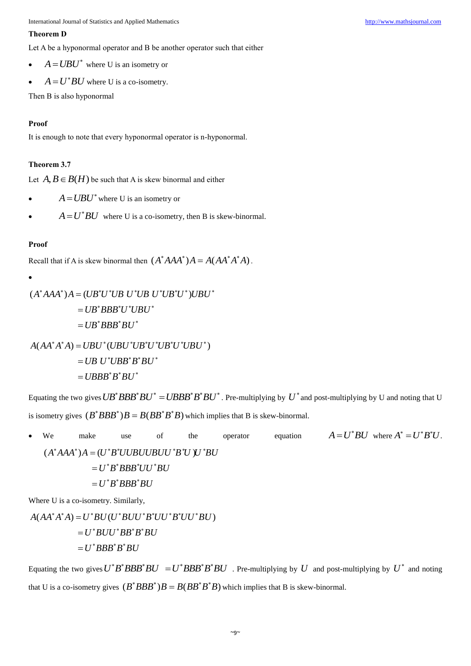International Journal of Statistics and Applied Mathematics [http://www.mathsjournal.com](http://www.mathsjournal.com/)

### **Theorem D**

Let A be a hyponormal operator and B be another operator such that either

- $\bullet$   $A = UBU^*$  where U is an isometry or
- $A = U^*BU$  where U is a co-isometry.

Then B is also hyponormal

# **Proof**

It is enough to note that every hyponormal operator is n-hyponormal.

# **Theorem 3.7**

Let  $A, B \in B(H)$  be such that A is skew binormal and either

- $A = UBU^*$  where U is an isometry or
- $A = U^*BU$  where U is a co-isometry, then B is skew-binormal.

# **Proof**

Recall that if A is skew binormal then  $(A^*AAA^*)A = A(AA^*A^*A)$ .

$$
(A^*AAA^*)A = (UB^*U^*UB U^*UB U^*UB^*U^*)UBU^*
$$
  

$$
= UB^*BBB^*U^*UBU^*
$$
  

$$
= UB^*BBB^*BU^*
$$
  

$$
A(AA^*A^*A) = UBU^*(UBU^*UB^*U^*UB^*U^*UBU^*)
$$

 $=$  UB  $U^* UBB^*B^*BU^*$  $= UBBB^{\ast }B^{\ast }BU^{\ast }$ 

Equating the two gives  $UB^*BBB^*BU^* = UBBB^*B^*BU^*$ . Pre-multiplying by  $U^*$  and post-multiplying by U and noting that U is isometry gives  $(B^*BBB^*)B = B(BB^*B^*B)$  which implies that B is skew-binormal.

• We make use of the operator equation  $A = U^*BU$  where  $A^* = U^*B^*U$ . ( $A^*AAA^*$ ) $A=(U^*B^*UUBUUBUU^*B^*U^*)U^*BU$  $=$   $U^{\ast}B^{\ast}BBB^{\ast}UU^{\ast}BU$  $=$   $U^{\ast}B^{\ast}BBB^{\ast}BU$ 

Where U is a co-isometry. Similarly,

 $A(AA^*A^*A) = U^*BU(U^*BUU^*B^*UU^*B^*UU^*BU)$  $=$   $U^{\ast}$   $B$   $U$   $U^{\ast}$   $BB^{\ast}$   $B^{\ast}$   $BU$  $=$   $U^*BBB^*B^*BU$ 

Equating the two gives  $U^*B^*BBB^*BU = U^*BBB^*B^*BU$  . Pre-multiplying by U and post-multiplying by  $U^*$  and noting that U is a co-isometry gives  $(B^*BBB^*)B = B(BB^*B^*B)$  which implies that B is skew-binormal.